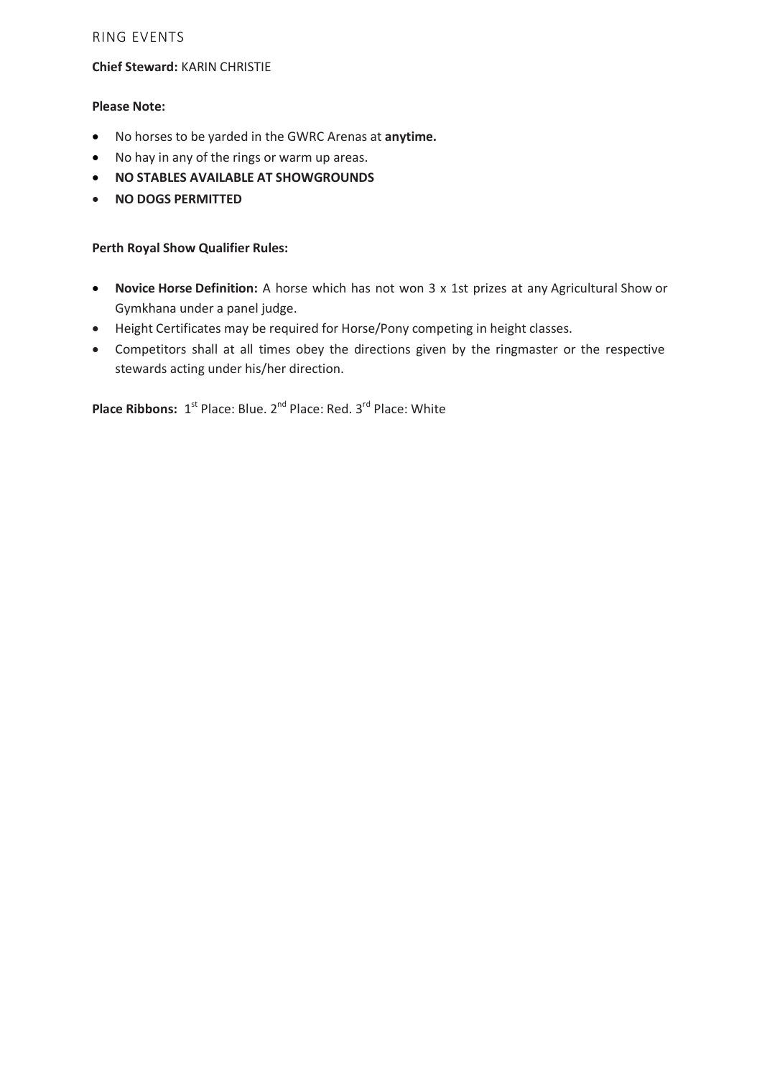# RING EVENTS

## **Chief Steward:** KARIN CHRISTIE

# **Please Note:**

- No horses to be yarded in the GWRC Arenas at **anytime.**
- No hay in any of the rings or warm up areas.
- **NO STABLES AVAILABLE AT SHOWGROUNDS**
- **NO DOGS PERMITTED**

## **Perth Royal Show Qualifier Rules:**

- **Novice Horse Definition:** A horse which has not won 3 x 1st prizes at any Agricultural Show or Gymkhana under a panel judge.
- Height Certificates may be required for Horse/Pony competing in height classes.
- Competitors shall at all times obey the directions given by the ringmaster or the respective stewards acting under his/her direction.

Place Ribbons: 1<sup>st</sup> Place: Blue. 2<sup>nd</sup> Place: Red. 3<sup>rd</sup> Place: White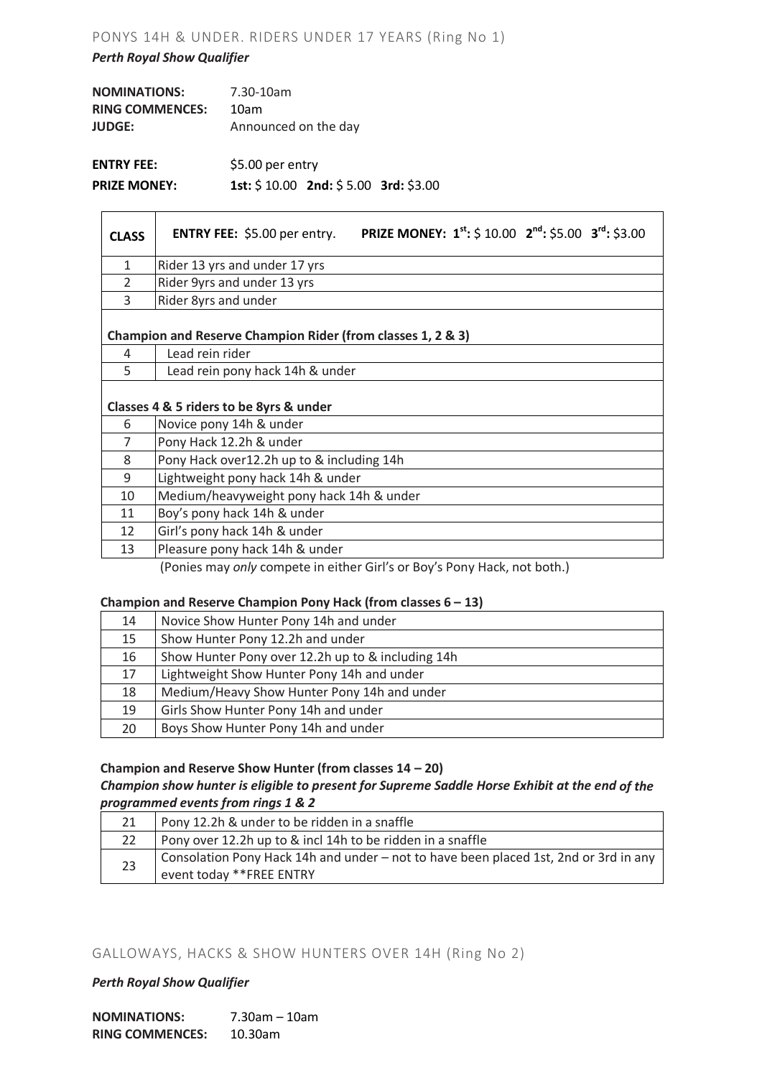# PONYS 14H & UNDER. RIDERS UNDER 17 YEARS (Ring No 1)

## *Perth Royal Show Qualifier*

| <b>NOMINATIONS:</b>    | 7.30-10am            |
|------------------------|----------------------|
| <b>RING COMMENCES:</b> | 10am                 |
| <b>JUDGE:</b>          | Announced on the day |
| <b>ENTRY FEE:</b>      | \$5.00 per entry     |

**PRIZE MONEY: 1st:** \$ 10.00 **2nd:** \$ 5.00 **3rd:** \$3.00

| <b>PRIZE MONEY: 1<sup>st</sup>:</b> \$ 10.00 <b>2<sup>nd</sup>:</b> \$5.00 <b>3<sup>rd</sup>:</b> \$3.00<br><b>ENTRY FEE:</b> \$5.00 per entry. |
|-------------------------------------------------------------------------------------------------------------------------------------------------|
| Rider 13 yrs and under 17 yrs                                                                                                                   |
| Rider 9yrs and under 13 yrs                                                                                                                     |
| Rider 8yrs and under                                                                                                                            |
| Champion and Reserve Champion Rider (from classes 1, 2 & 3)                                                                                     |
| Lead rein rider                                                                                                                                 |
| Lead rein pony hack 14h & under                                                                                                                 |
| Classes 4 & 5 riders to be 8yrs & under                                                                                                         |
| Novice pony 14h & under                                                                                                                         |
| Pony Hack 12.2h & under                                                                                                                         |
| Pony Hack over12.2h up to & including 14h                                                                                                       |
| Lightweight pony hack 14h & under                                                                                                               |
| Medium/heavyweight pony hack 14h & under                                                                                                        |
| Boy's pony hack 14h & under                                                                                                                     |
| Girl's pony hack 14h & under                                                                                                                    |
| Pleasure pony hack 14h & under                                                                                                                  |
|                                                                                                                                                 |

(Ponies may *only* compete in either Girl's or Boy's Pony Hack, not both.)

## **Champion and Reserve Champion Pony Hack (from classes 6 – 13)**

| 14 | Novice Show Hunter Pony 14h and under             |
|----|---------------------------------------------------|
| 15 | Show Hunter Pony 12.2h and under                  |
| 16 | Show Hunter Pony over 12.2h up to & including 14h |
| 17 | Lightweight Show Hunter Pony 14h and under        |
| 18 | Medium/Heavy Show Hunter Pony 14h and under       |
| 19 | Girls Show Hunter Pony 14h and under              |
| 20 | Boys Show Hunter Pony 14h and under               |

## **Champion and Reserve Show Hunter (from classes 14 – 20)**

## *Champion show hunter is eligible to present for Supreme Saddle Horse Exhibit at the end of the programmed events from rings 1 & 2*

|    | Pony 12.2h & under to be ridden in a snaffle                                                                      |
|----|-------------------------------------------------------------------------------------------------------------------|
|    | Pony over 12.2h up to & incl 14h to be ridden in a snaffle                                                        |
| 23 | Consolation Pony Hack 14h and under – not to have been placed 1st, 2nd or 3rd in any<br>event today ** FREE ENTRY |

## GALLOWAYS, HACKS & SHOW HUNTERS OVER 14H (Ring No 2)

## *Perth Royal Show Qualifier*

| <b>NOMINATIONS:</b>    | $7.30$ am – 10am |  |  |  |
|------------------------|------------------|--|--|--|
| <b>RING COMMENCES:</b> | $10.30$ am       |  |  |  |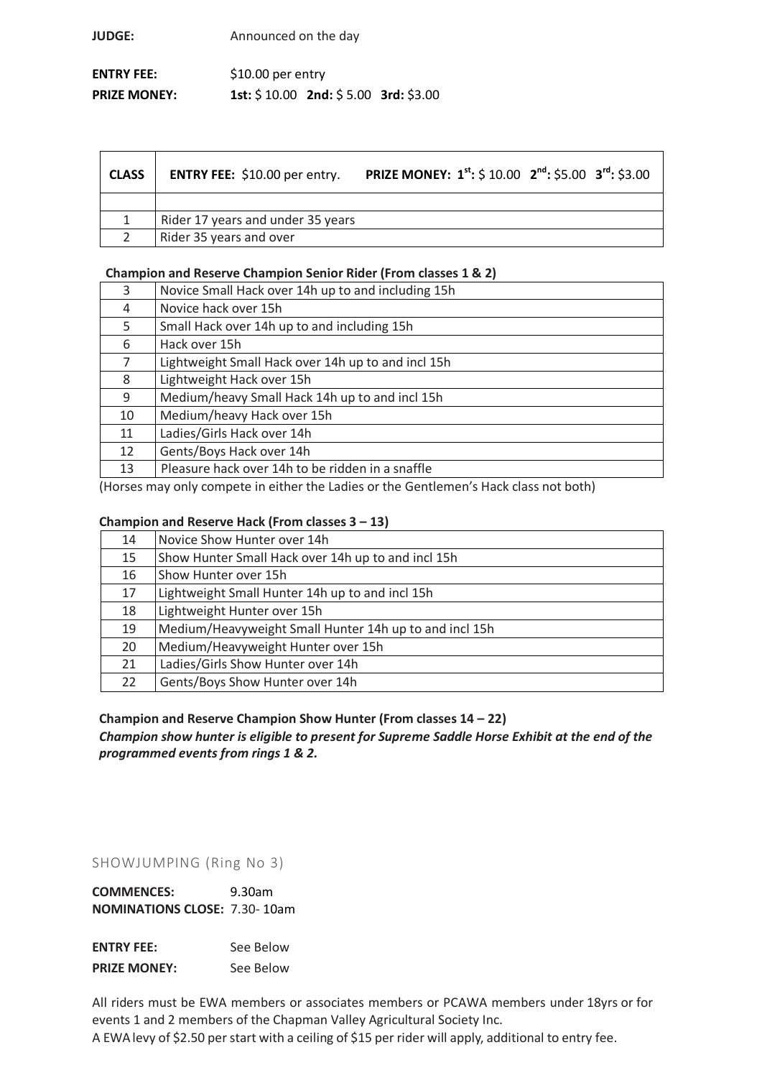**JUDGE:** Announced on the day

| <b>ENTRY FEE:</b>   | $$10.00$ per entry |                                         |  |  |
|---------------------|--------------------|-----------------------------------------|--|--|
| <b>PRIZE MONEY:</b> |                    | 1st: $$10.00$ 2nd: $$5.00$ 3rd: $$3.00$ |  |  |

| <b>CLASS</b> | <b>ENTRY FEE:</b> \$10.00 per entry. | <b>PRIZE MONEY:</b> $1^{st}$ : \$ 10.00 $2^{nd}$ : \$5.00 $3^{rd}$ : \$3.00 |  |
|--------------|--------------------------------------|-----------------------------------------------------------------------------|--|
|              |                                      |                                                                             |  |
|              | Rider 17 years and under 35 years    |                                                                             |  |
|              | Rider 35 years and over              |                                                                             |  |

# **Champion and Reserve Champion Senior Rider (From classes 1 & 2)**

| Novice Small Hack over 14h up to and including 15h |
|----------------------------------------------------|
| Novice hack over 15h                               |
| Small Hack over 14h up to and including 15h        |
| Hack over 15h                                      |
| Lightweight Small Hack over 14h up to and incl 15h |
| Lightweight Hack over 15h                          |
| Medium/heavy Small Hack 14h up to and incl 15h     |
| Medium/heavy Hack over 15h                         |
| Ladies/Girls Hack over 14h                         |
| Gents/Boys Hack over 14h                           |
| Pleasure hack over 14h to be ridden in a snaffle   |
|                                                    |

(Horses may only compete in either the Ladies or the Gentlemen's Hack class not both)

## **Champion and Reserve Hack (From classes 3 – 13)**

| 14 | Novice Show Hunter over 14h                            |
|----|--------------------------------------------------------|
| 15 | Show Hunter Small Hack over 14h up to and incl 15h     |
| 16 | Show Hunter over 15h                                   |
| 17 | Lightweight Small Hunter 14h up to and incl 15h        |
| 18 | Lightweight Hunter over 15h                            |
| 19 | Medium/Heavyweight Small Hunter 14h up to and incl 15h |
| 20 | Medium/Heavyweight Hunter over 15h                     |
| 21 | Ladies/Girls Show Hunter over 14h                      |
| 22 | Gents/Boys Show Hunter over 14h                        |

# **Champion and Reserve Champion Show Hunter (From classes 14 – 22)** *Champion show hunter is eligible to present for Supreme Saddle Horse Exhibit at the end of the programmed events from rings 1 & 2.*

## SHOWJUMPING (Ring No 3)

**COMMENCES:** 9.30am **NOMINATIONS CLOSE:** 7.30- 10am

**ENTRY FEE:** See Below **PRIZE MONEY:** See Below

All riders must be EWA members or associates members or PCAWA members under 18yrs or for events 1 and 2 members of the Chapman Valley Agricultural Society Inc. A EWAlevy of \$2.50 perstart with a ceiling of \$15 per rider will apply, additional to entry fee.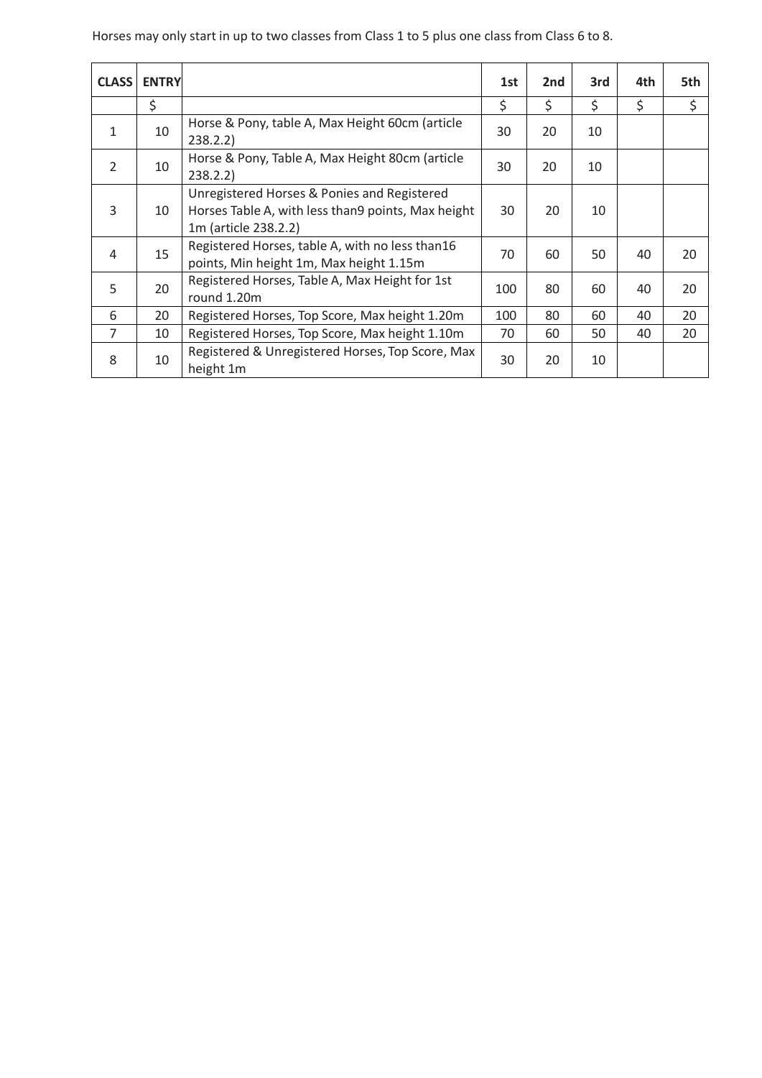Horses may only start in up to two classes from Class 1 to 5 plus one class from Class 6 to 8.

| <b>CLASS</b>   | <b>ENTRY</b> |                                                                                                                           | 1st | 2nd | 3rd | 4th | 5th |
|----------------|--------------|---------------------------------------------------------------------------------------------------------------------------|-----|-----|-----|-----|-----|
|                | \$           |                                                                                                                           | \$  | \$  | \$  | \$  | \$  |
| 1              | 10           | Horse & Pony, table A, Max Height 60cm (article<br>238.2.2)                                                               | 30  | 20  | 10  |     |     |
| 2              | 10           | Horse & Pony, Table A, Max Height 80cm (article<br>238.2.2)                                                               | 30  | 20  | 10  |     |     |
| 3              | 10           | Unregistered Horses & Ponies and Registered<br>Horses Table A, with less than9 points, Max height<br>1m (article 238.2.2) | 30  | 20  | 10  |     |     |
| 4              | 15           | Registered Horses, table A, with no less than16<br>points, Min height 1m, Max height 1.15m                                | 70  | 60  | 50  | 40  | 20  |
| 5              | 20           | Registered Horses, Table A, Max Height for 1st<br>round 1.20m                                                             | 100 | 80  | 60  | 40  | 20  |
| 6              | 20           | Registered Horses, Top Score, Max height 1.20m                                                                            | 100 | 80  | 60  | 40  | 20  |
| $\overline{7}$ | 10           | Registered Horses, Top Score, Max height 1.10m                                                                            | 70  | 60  | 50  | 40  | 20  |
| 8              | 10           | Registered & Unregistered Horses, Top Score, Max<br>height 1m                                                             | 30  | 20  | 10  |     |     |